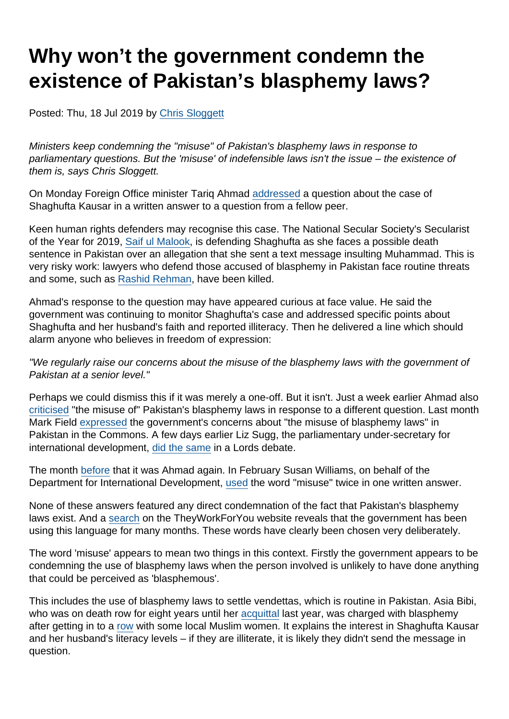# Why won't the government condemn the existence of Pakistan's blasphemy laws?

Posted: Thu, 18 Jul 2019 by [Chris Sloggett](https://www.secularism.org.uk/opinion/authors/968)

Ministers keep condemning the "misuse" of Pakistan's blasphemy laws in response to parliamentary questions. But the 'misuse' of indefensible laws isn't the issue – the existence of them is, says Chris Sloggett.

On Monday Foreign Office minister Tariq Ahmad [addressed](https://www.theyworkforyou.com/wrans/?id=2019-07-01.HL16782.h) a question about the case of Shaghufta Kausar in a written answer to a question from a fellow peer.

Keen human rights defenders may recognise this case. The National Secular Society's Secularist of the Year for 2019, [Saif ul Malook](https://www.secularism.org.uk/news/2019/05/lawyer-who-defended-asia-bibi-named-secularist-of-the-year), is defending Shaghufta as she faces a possible death sentence in Pakistan over an allegation that she sent a text message insulting Muhammad. This is very risky work: lawyers who defend those accused of blasphemy in Pakistan face routine threats and some, such as [Rashid Rehman](https://www.bbc.co.uk/news/world-asia-27319433), have been killed.

Ahmad's response to the question may have appeared curious at face value. He said the government was continuing to monitor Shaghufta's case and addressed specific points about Shaghufta and her husband's faith and reported illiteracy. Then he delivered a line which should alarm anyone who believes in freedom of expression:

"We regularly raise our concerns about the misuse of the blasphemy laws with the government of Pakistan at a senior level."

Perhaps we could dismiss this if it was merely a one-off. But it isn't. Just a week earlier Ahmad also [criticised](https://www.theyworkforyou.com/wrans/?id=2019-06-26.HL16718.h) "the misuse of" Pakistan's blasphemy laws in response to a different question. Last month Mark Field [expressed](https://www.theyworkforyou.com/wrans/?id=2019-06-07.261522.h) the government's concerns about "the misuse of blasphemy laws" in Pakistan in the Commons. A few days earlier Liz Sugg, the parliamentary under-secretary for international development, [did the same](https://www.theyworkforyou.com/lords/?id=2019-06-06b.173.7) in a Lords debate.

The month [before](https://www.theyworkforyou.com/wrans/?id=2019-05-13.HL15657.h) that it was Ahmad again. In February Susan Williams, on behalf of the Department for International Development, [used](https://www.theyworkforyou.com/wrans/?id=2019-01-30.HL13272.h) the word "misuse" twice in one written answer.

None of these answers featured any direct condemnation of the fact that Pakistan's blasphemy laws exist. And a [search](https://www.theyworkforyou.com/search/?q=misuse+of+blasphemy) on the TheyWorkForYou website reveals that the government has been using this language for many months. These words have clearly been chosen very deliberately.

The word 'misuse' appears to mean two things in this context. Firstly the government appears to be condemning the use of blasphemy laws when the person involved is unlikely to have done anything that could be perceived as 'blasphemous'.

This includes the use of blasphemy laws to settle vendettas, which is routine in Pakistan. Asia Bibi, who was on death row for eight years until her [acquittal](https://www.secularism.org.uk/news/2018/10/pakistani-court-orders-woman-facing-death-for-blasphemy-to-be-freed) last year, was charged with blasphemy after getting in to a [row](https://www.secularism.org.uk/news/2018/10/nss-writes-to-foreign-office-over-blasphemy-case-in-pakistan) with some local Muslim women. It explains the interest in Shaghufta Kausar and her husband's literacy levels – if they are illiterate, it is likely they didn't send the message in question.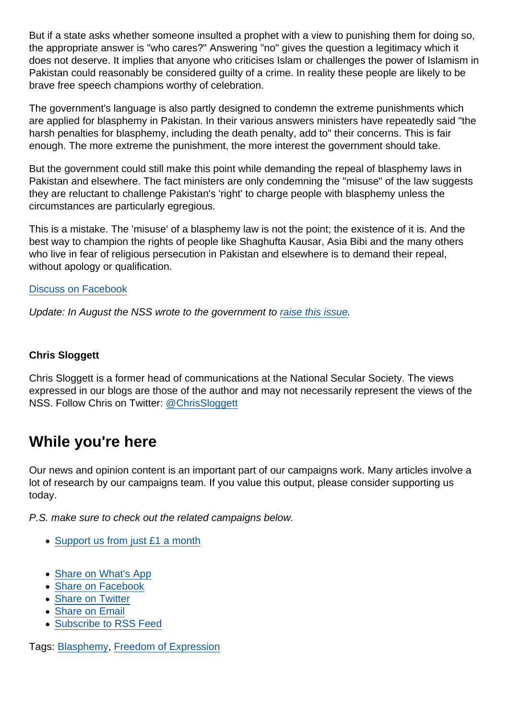But if a state asks whether someone insulted a prophet with a view to punishing them for doing so, the appropriate answer is "who cares?" Answering "no" gives the question a legitimacy which it does not deserve. It implies that anyone who criticises Islam or challenges the power of Islamism in Pakistan could reasonably be considered guilty of a crime. In reality these people are likely to be brave free speech champions worthy of celebration.

The government's language is also partly designed to condemn the extreme punishments which are applied for blasphemy in Pakistan. In their various answers ministers have repeatedly said "the harsh penalties for blasphemy, including the death penalty, add to" their concerns. This is fair enough. The more extreme the punishment, the more interest the government should take.

But the government could still make this point while demanding the repeal of blasphemy laws in Pakistan and elsewhere. The fact ministers are only condemning the "misuse" of the law suggests they are reluctant to challenge Pakistan's 'right' to charge people with blasphemy unless the circumstances are particularly egregious.

This is a mistake. The 'misuse' of a blasphemy law is not the point; the existence of it is. And the best way to champion the rights of people like Shaghufta Kausar, Asia Bibi and the many others who live in fear of religious persecution in Pakistan and elsewhere is to demand their repeal, without apology or qualification.

#### [Discuss on Facebook](https://www.facebook.com/NationalSecularSociety/posts/2357529097648761?__xts__[0]=68.ARCN_g-WyYnC2ZWMSmZh_4a1gHFNySMTI_pA4EJJgqWjgYAifi_Yc4kMqN4dmw4R_UDIAOGagxnRzqHfBknvq3FKdGPikXtbL-QCoEUi4rWRrwkFsMcAhL7cN-46-b5QYOv2obraIsLM-5swKv5eZSD1SIrGACPB6q7TRFZQKhRGzV-LnnTlW0zmLignZGI_-w-a6o8tvIC4asuOpou2M6_zeYK_DjklV9m1AkSkoM53p2UODmEIcRBzZWvSO26wNlMlnnoYp9yTklPfM0VYEjjNzDgAAozhqxBPdRGB73R7rQ80t1RfOZrMwhUXnPFQnsxTYk5Ay3IEFRXOo2Z7oarppg&__tn__=-R)

Update: In August the NSS wrote to the government to [raise this issue.](https://www.secularism.org.uk/news/2019/08/nss-urges-government-to-review-its-language-on-blasphemy-laws)

Chris Sloggett

Chris Sloggett is a former head of communications at the National Secular Society. The views expressed in our blogs are those of the author and may not necessarily represent the views of the NSS. Follow Chris on Twitter: [@ChrisSloggett](https://twitter.com/ChrisSloggett)

### While you're here

Our news and opinion content is an important part of our campaigns work. Many articles involve a lot of research by our campaigns team. If you value this output, please consider supporting us today.

P.S. make sure to check out the related campaigns below.

- [Support us from just £1 a month](https://www.secularism.org.uk/donate.html)
- [Share on What's App](whatsapp://send?text=http://www.secularism.org.uk/opinion/2019/07/why-wont-the-government-condemn-the-existence-of-pakistans-blasphemy-laws?format=pdf)
- [Share on Facebook](https://www.facebook.com/sharer/sharer.php?u=http://www.secularism.org.uk/opinion/2019/07/why-wont-the-government-condemn-the-existence-of-pakistans-blasphemy-laws?format=pdf&t=Why+won’t+the+government+condemn+the+existence+of+Pakistan’s+blasphemy+laws?)
- [Share on Twitter](https://twitter.com/intent/tweet?url=http://www.secularism.org.uk/opinion/2019/07/why-wont-the-government-condemn-the-existence-of-pakistans-blasphemy-laws?format=pdf&text=Why+won’t+the+government+condemn+the+existence+of+Pakistan’s+blasphemy+laws?&via=NatSecSoc)
- [Share on Email](https://www.secularism.org.uk/share.html?url=http://www.secularism.org.uk/opinion/2019/07/why-wont-the-government-condemn-the-existence-of-pakistans-blasphemy-laws?format=pdf&title=Why+won’t+the+government+condemn+the+existence+of+Pakistan’s+blasphemy+laws?)
- [Subscribe to RSS Feed](/mnt/web-data/www/cp-nss/feeds/rss/news)

Tags: [Blasphemy,](https://www.secularism.org.uk/opinion/tags/Blasphemy) [Freedom of Expression](https://www.secularism.org.uk/opinion/tags/Freedom+of+Expression)